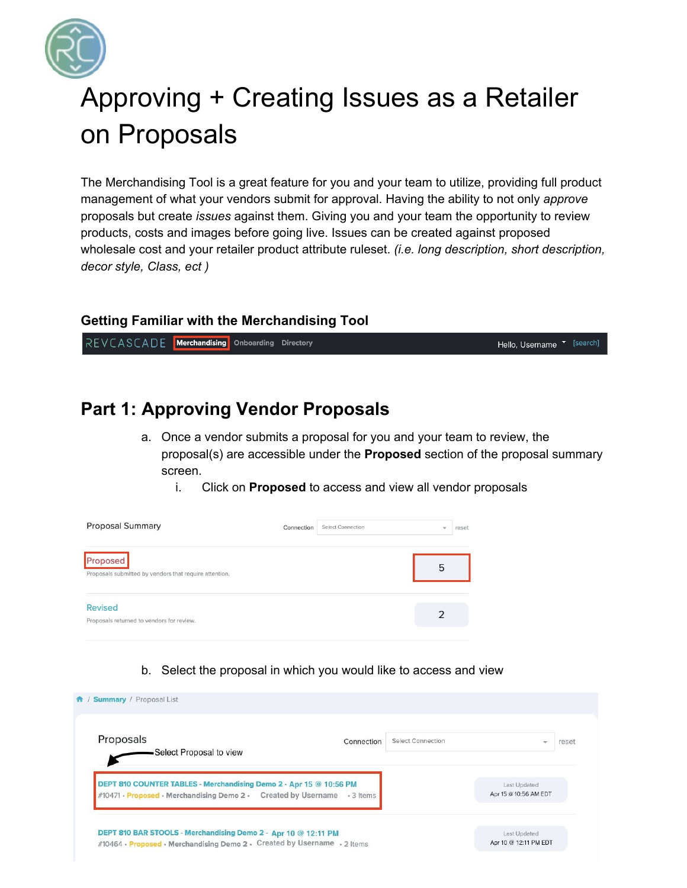

# Approving + Creating Issues as a Retailer on Proposals

The Merchandising Tool is a great feature for you and your team to utilize, providing full product management of what your vendors submit for approval. Having the ability to not only *approve* proposals but create *issues* against them. Giving you and your team the opportunity to review products, costs and images before going live. Issues can be created against proposed wholesale cost and your retailer product attribute ruleset. *(i.e. long description, short description, decor style, Class, ect )*

## **Getting Familiar with the Merchandising Tool**

REVCASCADE Merchandising Onboarding Directory Hello, Username <sup>v [search]</sup>

## **Part 1: Approving Vendor Proposals**

- a. Once a vendor submits a proposal for you and your team to review, the proposal(s) are accessible under the **Proposed** section of the proposal summary screen.
	- i. Click on **Proposed** to access and view all vendor proposals

| <b>Proposal Summary</b>                                            | Connection | Select Connection | $\overline{\phantom{a}}$ | reset |
|--------------------------------------------------------------------|------------|-------------------|--------------------------|-------|
| Proposed<br>Proposals submitted by vendors that require attention. |            |                   | 5                        |       |
| Revised<br>Proposals returned to vendors for review.               |            |                   |                          |       |

b. Select the proposal in which you would like to access and view

| Proposals                                                                | <b>Select Connection</b><br>Connection | $\overline{\phantom{a}}$ | reset |
|--------------------------------------------------------------------------|----------------------------------------|--------------------------|-------|
| -Select Proposal to view                                                 |                                        |                          |       |
| DEPT 810 COUNTER TABLES - Merchandising Demo 2 - Apr 15 @ 10:56 PM       |                                        | Last Updated             |       |
|                                                                          |                                        |                          |       |
| #10471 • Proposed • Merchandising Demo 2 • Created by Username • 3 Items |                                        | Apr 15 @ 10:56 AM EDT    |       |
| DEPT 810 BAR STOOLS - Merchandising Demo 2 - Apr 10 @ 12:11 PM           |                                        | Last Updated             |       |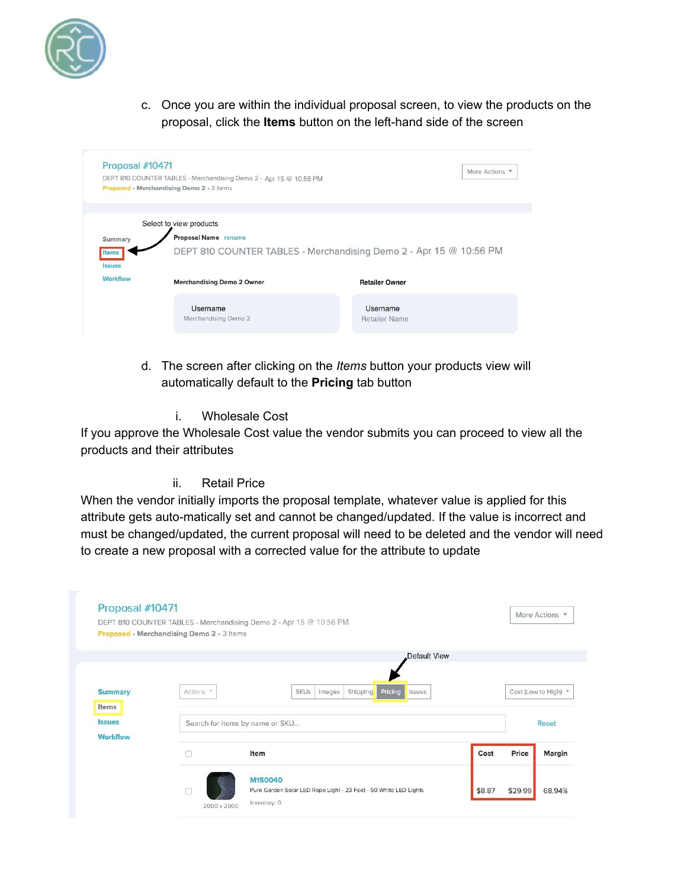

c. Once you are within the individual proposal screen, to view the products on the proposal, click the **Items** button on the left-hand side of the screen

| Proposal #10471 |                                                                    |                       | More Actions |
|-----------------|--------------------------------------------------------------------|-----------------------|--------------|
|                 | DEPT 810 COUNTER TABLES - Merchandising Demo 2 - Apr 15 @ 10:56 PM |                       |              |
|                 | Proposed • Merchandising Demo 2 • 3 Items                          |                       |              |
|                 |                                                                    |                       |              |
|                 | Select to view products                                            |                       |              |
| Summary         | Proposal Name rename                                               |                       |              |
| <b>ssues</b>    | DEPT 810 COUNTER TABLES - Merchandising Demo 2 - Apr 15 @ 10:56 PM |                       |              |
|                 |                                                                    |                       |              |
| <b>Workflow</b> | <b>Merchandising Demo 2 Owner</b>                                  | <b>Retailer Owner</b> |              |
|                 | Username                                                           | Username              |              |

- d. The screen after clicking on the *Items* button your products view will automatically default to the **Pricing** tab button
	- i. Wholesale Cost

If you approve the Wholesale Cost value the vendor submits you can proceed to view all the products and their attributes

ii. Retail Price

When the vendor initially imports the proposal template, whatever value is applied for this attribute gets auto-matically set and cannot be changed/updated. If the value is incorrect and must be changed/updated, the current proposal will need to be deleted and the vendor will need to create a new proposal with a corrected value for the attribute to update

|                 |           |                                   | Default View      |      |                      |              |
|-----------------|-----------|-----------------------------------|-------------------|------|----------------------|--------------|
|                 |           |                                   |                   |      |                      |              |
| <b>Summary</b>  | Actions * | <b>SKUs</b><br>Shipping<br>Images | Pricing<br>Issues |      | Cost (Low to High) * |              |
| Items           |           |                                   |                   |      |                      |              |
| <b>Issues</b>   |           | Search for items by name or SKU   |                   |      |                      | <b>Reset</b> |
| <b>Workflow</b> |           |                                   |                   |      |                      |              |
|                 |           | Item                              |                   | Cost | Price                | Margin       |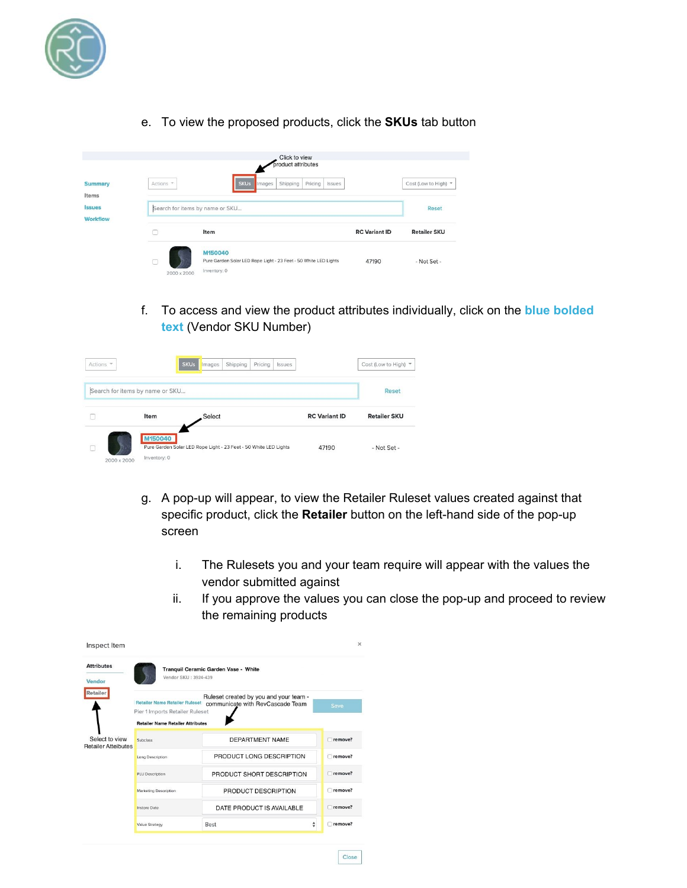

e. To view the proposed products, click the **SKUs** tab button

|                |             | Click to view<br>product attributes                                                         |                      |                      |
|----------------|-------------|---------------------------------------------------------------------------------------------|----------------------|----------------------|
| <b>Summary</b> | Actions *   | <b>SKUs</b><br>Pricing<br>Shipping<br>Issues<br>Images                                      |                      | Cost (Low to High) * |
| Items          |             |                                                                                             |                      |                      |
| <b>Issues</b>  |             | Search for items by name or SKU                                                             |                      | Reset                |
| Workflow       |             |                                                                                             |                      |                      |
|                |             | Item                                                                                        | <b>RC</b> Variant ID | <b>Retailer SKU</b>  |
|                | 2000 x 2000 | M150040<br>Pure Garden Solar LED Rope Light - 23 Feet - 50 White LED Lights<br>Inventory: 0 | 47190                | - Not Set -          |

f. To access and view the product attributes individually, click on the **blue bolded text** (Vendor SKU Number)

| Actions *   |                                 | <b>SKUs</b><br>Shipping<br>Pricing<br>Issues<br>Images           |                      | Cost (Low to High) * |
|-------------|---------------------------------|------------------------------------------------------------------|----------------------|----------------------|
|             | Search for items by name or SKU |                                                                  |                      | <b>Reset</b>         |
|             | Item                            | Select                                                           | <b>RC</b> Variant ID | <b>Retailer SKU</b>  |
| 2000 x 2000 | M150040<br>Inventory: 0         | Pure Garden Solar LED Rope Light - 23 Feet - 50 White LED Lights | 47190                | - Not Set -          |

g. A pop-up will appear, to view the Retailer Ruleset values created against that specific product, click the **Retailer** button on the left-hand side of the pop-up screen

Close

- i. The Rulesets you and your team require will appear with the values the vendor submitted against
- ii. If you approve the values you can close the pop-up and proceed to review the remaining products

| Inspect Item                                 |                                                                                                                      |                                                                            | $\times$ |
|----------------------------------------------|----------------------------------------------------------------------------------------------------------------------|----------------------------------------------------------------------------|----------|
| <b>Attributes</b><br>Vendor                  | Vendor SKU: 3924-439                                                                                                 | Tranquil Ceramic Garden Vase - White                                       |          |
| Retailer                                     | <b>Retailer Name Retailer Ruleset</b><br>Pier 1 Imports Retailer Ruleset<br><b>Retailer Name Retailer Attributes</b> | Ruleset created by you and your team -<br>communicate with RevCascade Team | Save     |
| Select to view<br><b>Retailer Atteibutes</b> | <b>Subclass</b>                                                                                                      | DEPARTMENT NAME                                                            | remove?  |
|                                              | Long Description                                                                                                     | PRODUCT LONG DESCRIPTION                                                   | remove?  |
|                                              | PLU Description                                                                                                      | PRODUCT SHORT DESCRIPTION                                                  | remove?  |
|                                              | Marketing Description                                                                                                | PRODUCT DESCRIPTION                                                        | remove?  |
|                                              | <b>Instore Date</b>                                                                                                  | DATE PRODUCT IS AVAILABLE                                                  | remove?  |
|                                              | <b>Value Strategy</b>                                                                                                | ÷<br>Best                                                                  | remove?  |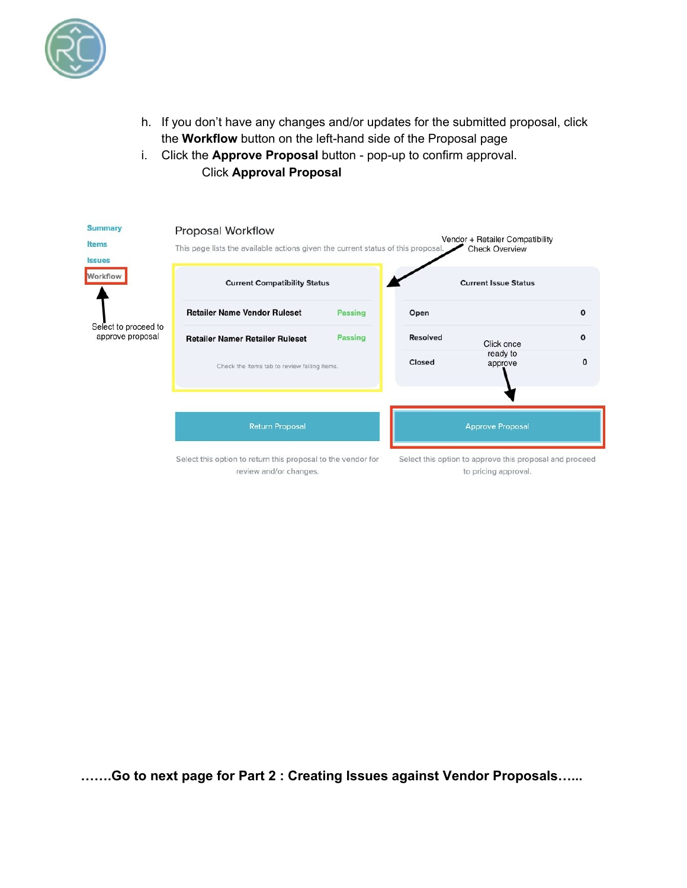

- h. If you don't have any changes and/or updates for the submitted proposal, click the **Workflow** button on the left-hand side of the Proposal page
- i. Click the **Approve Proposal** button pop-up to confirm approval. Click **Approval Proposal**

| <b>Summary</b><br>Items<br><b>Issues</b> | Proposal Workflow<br>This page lists the available actions given the current status of this proposal. |                |                 | Vendor + Retailer Compatibility<br><b>Check Overview</b>                        |              |
|------------------------------------------|-------------------------------------------------------------------------------------------------------|----------------|-----------------|---------------------------------------------------------------------------------|--------------|
| Workflow                                 | <b>Current Compatibility Status</b>                                                                   |                |                 | <b>Current Issue Status</b>                                                     |              |
|                                          | <b>Retailer Name Vendor Ruleset</b>                                                                   | <b>Passing</b> | Open            |                                                                                 | $\mathbf 0$  |
| Select to proceed to<br>approve proposal | <b>Retailer Namer Retailer Ruleset</b>                                                                | Passing        | <b>Resolved</b> | Click once                                                                      | $\mathbf{o}$ |
|                                          | Check the Items tab to review failing items.                                                          |                | Closed          | ready to<br>approve                                                             | $\mathbf{0}$ |
|                                          | <b>Return Proposal</b>                                                                                |                |                 | <b>Approve Proposal</b>                                                         |              |
|                                          | Select this option to return this proposal to the vendor for<br>review and/or changes.                |                |                 | Select this option to approve this proposal and proceed<br>to pricing approval. |              |

**…….Go to next page for Part 2 : Creating Issues against Vendor Proposals…...**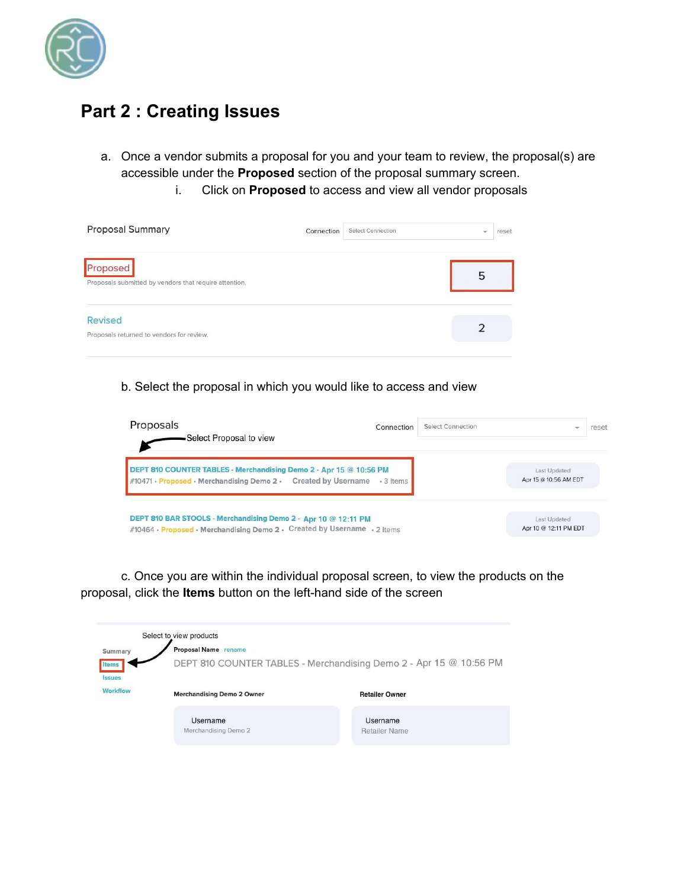

## **Part 2 : Creating Issues**

- a. Once a vendor submits a proposal for you and your team to review, the proposal(s) are accessible under the **Proposed** section of the proposal summary screen.
	- i. Click on **Proposed** to access and view all vendor proposals

| <b>Proposal Summary</b>                                            | Connection | <b>Select Connection</b> | $\overline{\phantom{a}}$ | reset |
|--------------------------------------------------------------------|------------|--------------------------|--------------------------|-------|
| Proposed<br>Proposals submitted by vendors that require attention. |            |                          | 5                        |       |
| <b>Revised</b><br>Proposals returned to vendors for review.        |            |                          |                          |       |

b. Select the proposal in which you would like to access and view



c. Once you are within the individual proposal screen, to view the products on the proposal, click the **Items** button on the left-hand side of the screen

|                        | Select to view products           |                                                                    |
|------------------------|-----------------------------------|--------------------------------------------------------------------|
| Summary                | <b>Proposal Name</b> rename       |                                                                    |
| Items<br><b>Issues</b> |                                   | DEPT 810 COUNTER TABLES - Merchandising Demo 2 - Apr 15 @ 10:56 PM |
| <b>Workflow</b>        | <b>Merchandising Demo 2 Owner</b> | <b>Retailer Owner</b>                                              |
|                        | Username<br>Merchandising Demo 2  | Username<br><b>Retailer Name</b>                                   |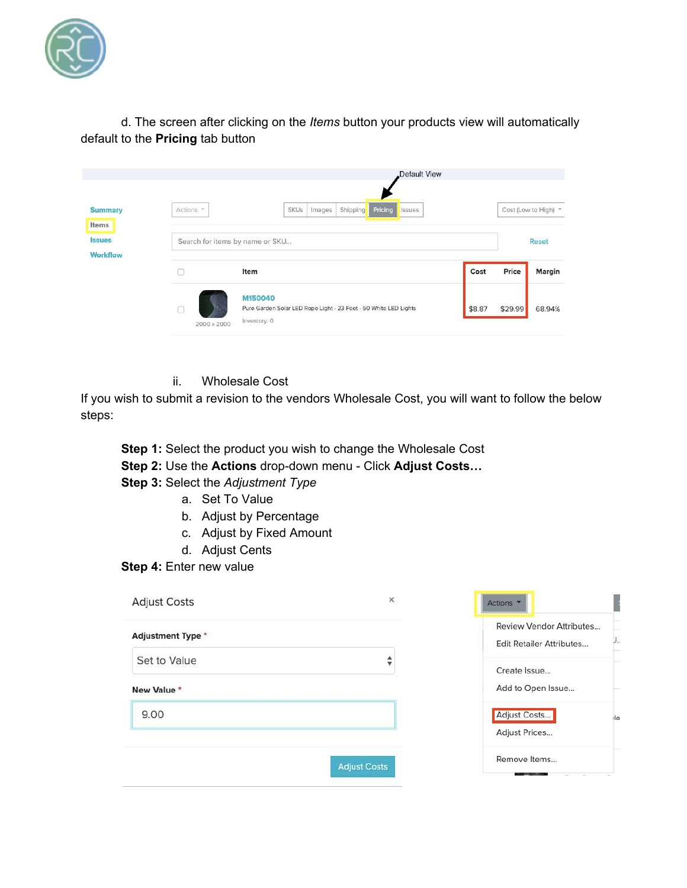

d. The screen after clicking on the *Items* button your products view will automatically default to the **Pricing** tab button

|                           |                                 | Default View                                                                                |                             |  |
|---------------------------|---------------------------------|---------------------------------------------------------------------------------------------|-----------------------------|--|
| <b>Summary</b><br>Items   | Actions *                       | Pricing<br>Images<br>Shipping<br><b>SKUs</b><br>Issues                                      | Cost (Low to High) *        |  |
| <b>Issues</b><br>Workflow | Search for items by name or SKU |                                                                                             | <b>Reset</b>                |  |
|                           | C                               | Item                                                                                        | Price<br>Cost<br>Margin     |  |
|                           | 0<br>2000 x 2000                | M150040<br>Pure Garden Solar LED Rope Light - 23 Feet - 50 White LED Lights<br>Inventory: 0 | \$8.87<br>\$29.99<br>68.94% |  |

ii. Wholesale Cost

If you wish to submit a revision to the vendors Wholesale Cost, you will want to follow the below steps:

**Step 1:** Select the product you wish to change the Wholesale Cost

**Step 2:** Use the **Actions** drop-down menu - Click **Adjust Costs…**

**Step 3:** Select the *Adjustment Type*

- a. Set To Value
- b. Adjust by Percentage
- c. Adjust by Fixed Amount
- d. Adjust Cents

**Step 4:** Enter new value

| <b>Adjustment Type *</b> |  |
|--------------------------|--|
| Set to Value             |  |
| New Value*               |  |
| 9.00                     |  |
|                          |  |

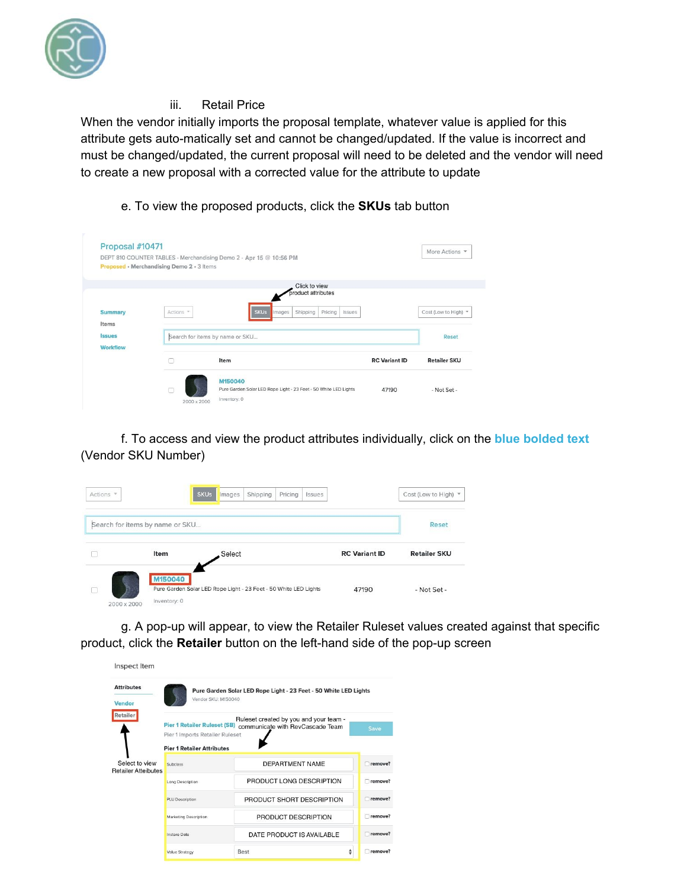

### iii. Retail Price

When the vendor initially imports the proposal template, whatever value is applied for this attribute gets auto-matically set and cannot be changed/updated. If the value is incorrect and must be changed/updated, the current proposal will need to be deleted and the vendor will need to create a new proposal with a corrected value for the attribute to update

### e. To view the proposed products, click the **SKUs** tab button

|                 |                                           | DEPT 810 COUNTER TABLES - Merchandising Demo 2 - Apr 15 @ 10:56 PM |                      | More Actions         |
|-----------------|-------------------------------------------|--------------------------------------------------------------------|----------------------|----------------------|
|                 | Proposed · Merchandising Demo 2 · 3 Items |                                                                    |                      |                      |
|                 |                                           | Click to view<br>product attributes                                |                      |                      |
|                 |                                           |                                                                    |                      |                      |
| <b>Summary</b>  | Actions *                                 | <b>SKUs</b><br>Shipping<br>Pricing<br>Images<br>Issues             |                      | Cost (Low to High) - |
| Items           |                                           |                                                                    |                      |                      |
| <b>Issues</b>   |                                           | Search for items by name or SKU                                    |                      | Reset                |
| <b>Workflow</b> |                                           |                                                                    |                      |                      |
|                 |                                           | Item                                                               | <b>RC</b> Variant ID | <b>Retailer SKU</b>  |
|                 |                                           |                                                                    |                      |                      |
|                 |                                           | M150040                                                            |                      |                      |

f. To access and view the product attributes individually, click on the **blue bolded text** (Vendor SKU Number)

| Actions - |                                 | <b>SKUs</b><br>Pricing<br>Shipping<br>Images                     | <i>Issues</i>        | Cost (Low to High) * |
|-----------|---------------------------------|------------------------------------------------------------------|----------------------|----------------------|
|           | Search for items by name or SKU |                                                                  |                      | <b>Reset</b>         |
|           | <b>Item</b>                     | Select                                                           | <b>RC</b> Variant ID | <b>Retailer SKU</b>  |
|           | M150040<br>Inventory: 0         | Pure Garden Solar LED Rope Light - 23 Feet - 50 White LED Lights | 47190                | - Not Set -          |

g. A pop-up will appear, to view the Retailer Ruleset values created against that specific product, click the **Retailer** button on the left-hand side of the pop-up screen

| <b>Attributes</b><br>Vendor | Vendor SKU: M150040                                                    | Pure Garden Solar LED Rope Light - 23 Feet - 50 White LED Lights           |                               |
|-----------------------------|------------------------------------------------------------------------|----------------------------------------------------------------------------|-------------------------------|
| Retailer                    | <b>Pier 1 Retailer Ruleset (SB)</b><br>Pier 1 Imports Retailer Ruleset | Ruleset created by you and your team -<br>communicate with RevCascade Team | Save                          |
| Select to view              | <b>Pier 1 Retailer Attributes</b><br>Subclass                          | <b>DEPARTMENT NAME</b>                                                     | remove?                       |
| <b>Retailer Atteibutes</b>  | Long Description                                                       | PRODUCT LONG DESCRIPTION                                                   | □ remove?                     |
|                             |                                                                        |                                                                            |                               |
|                             | PLU Description                                                        | PRODUCT SHORT DESCRIPTION                                                  |                               |
|                             | Marketing Description                                                  | PRODUCT DESCRIPTION                                                        |                               |
|                             | Instore Date                                                           | DATE PRODUCT IS AVAILABLE                                                  | remove?<br>remove?<br>remove? |